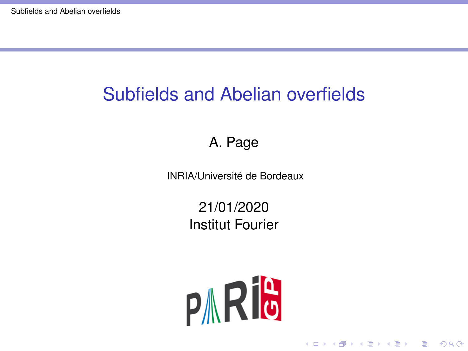# <span id="page-0-0"></span>Subfields and Abelian overfields

#### A. Page

INRIA/Université de Bordeaux

21/01/2020 Institut Fourier

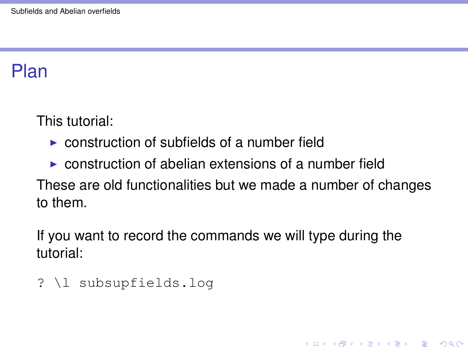### Plan

This tutorial:

- $\triangleright$  construction of subfields of a number field
- $\triangleright$  construction of abelian extensions of a number field

These are old functionalities but we made a number of changes to them.

**KORK ERKER ADAM ADA** 

If you want to record the commands we will type during the tutorial:

```
? \l subsupfields.log
```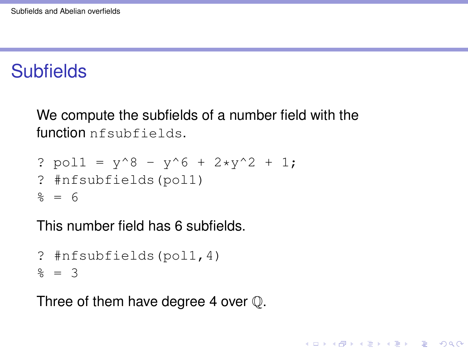## Subfields

We compute the subfields of a number field with the function nfsubfields.

**KORKARA KERKER DAGA** 

? pol1 = y^8 - y^6 + 2\*y^2 + 1; ? #nfsubfields(pol1) % = 6

This number field has 6 subfields.

```
? #nfsubfields(pol1,4)
% = 3
```
Three of them have degree 4 over  $\mathbb Q$ .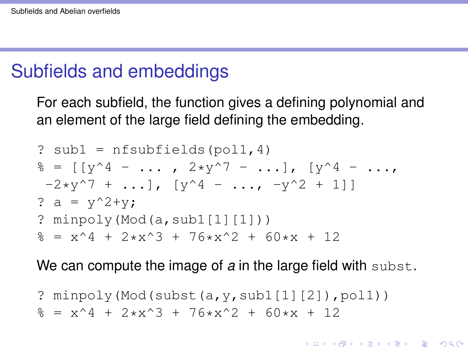#### Subfields and embeddings

For each subfield, the function gives a defining polynomial and an element of the large field defining the embedding.

? sub1 = nfsubfields(pol1,4) % = [[y^4 - ... , 2\*y^7 - ...], [y^4 - ..., -2\*y^7 + ...], [y^4 - ..., -y^2 + 1]] ? a = y^2+y; ? minpoly(Mod(a,sub1[1][1])) % = x^4 + 2\*x^3 + 76\*x^2 + 60\*x + 12

We can compute the image of a in the large field with subst.

KID K@ KKEX KEX E 1090

? minpoly(Mod(subst(a,  $v$ , sub1[1][2]), pol1))  $\frac{1}{6}$  = x<sup>^</sup>4 + 2\*x<sup>^</sup>3 + 76\*x<sup>^</sup>2 + 60\*x + 12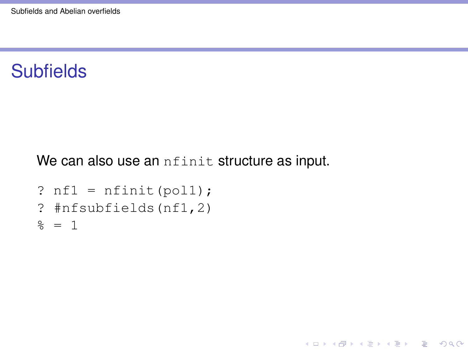#### **Subfields**

We can also use an *nfinit* structure as input.

K ロ ▶ K @ ▶ K 할 ▶ K 할 ▶ 이 할 → 9 Q Q\*

```
? nfl = nfinit(poll);? #nfsubfields(nf1,2)
\frac{6}{6} = 1
```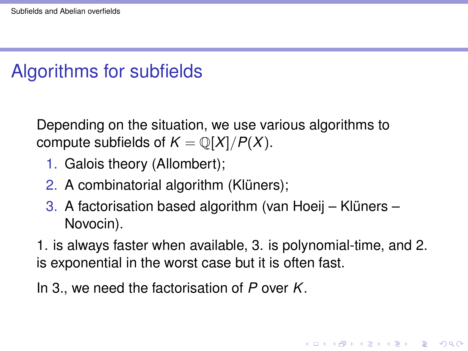## Algorithms for subfields

Depending on the situation, we use various algorithms to compute subfields of  $K = \mathbb{Q}[X]/P(X)$ .

- 1. Galois theory (Allombert);
- 2. A combinatorial algorithm (Klüners);
- 3. A factorisation based algorithm (van Hoeij Klüners Novocin).
- 1. is always faster when available, 3. is polynomial-time, and 2. is exponential in the worst case but it is often fast.

In 3., we need the factorisation of *P* over *K*.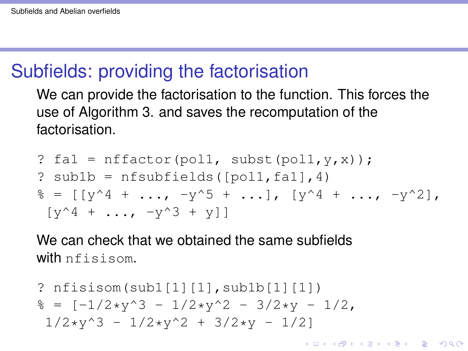### Subfields: providing the factorisation

We can provide the factorisation to the function. This forces the use of Algorithm 3. and saves the recomputation of the factorisation.

```
\n? 
$$
\text{fal} = \text{nfactor}(\text{pol1, subset}(\text{pol1}, y, x));
$$
\n?  $\text{sublb} = \text{nfsubfields}([\text{pol1}, \text{fal}], 4)$ \n% =  $[[y^4 + \ldots, -y^5 + \ldots], [y^4 + \ldots, -y^2],$ \n $[[y^4 + \ldots, -y^3 + y]]$ \n
```

We can check that we obtained the same subfields with nfisisom.

? 
$$
\text{nfisisom}(\text{sub1}[1][1], \text{sub1b}[1][1])
$$
  
\n $\text{%} = [-1/2*y^3 - 1/2*y^2 - 3/2*y - 1/2, 1/2*y^3 - 1/2*y^2 + 3/2*y - 1/2]$ 

K ロ ▶ K @ ▶ K 할 ▶ K 할 ▶ | 할 | K 9 Q Q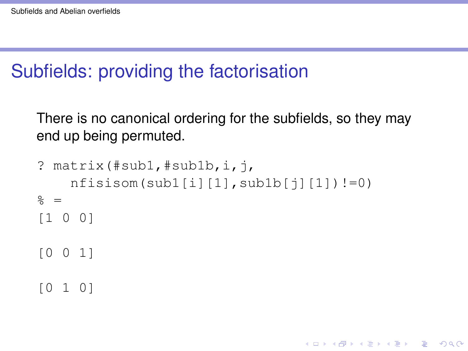## Subfields: providing the factorisation

There is no canonical ordering for the subfields, so they may end up being permuted.

**KOD KARD KED KED BE YOUR** 

```
? matrix(\#sub1, #sub1b,i,j)nfission(sub1[i][1],sub1b[i][1])!=0)\frac{6}{6} =
[1 0 0]
[0 0 1]
[0 1 0]
```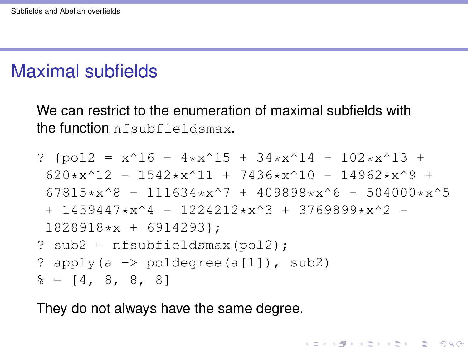### Maximal subfields

We can restrict to the enumeration of maximal subfields with the function nfsubfieldsmax.

? {pol2 = x^16 - 4\*x^15 + 34\*x^14 - 102\*x^13 + 620\*x^12 - 1542\*x^11 + 7436\*x^10 - 14962\*x^9 + 67815\*x^8 - 111634\*x^7 + 409898\*x^6 - 504000\*x^5 + 1459447\*x^4 - 1224212\*x^3 + 3769899\*x^2 - 1828918\*x + 6914293}; ? sub2 = nfsubfieldsmax(pol2); ? apply(a -> poldegree(a[1]), sub2) % = [4, 8, 8, 8]

They do not always have the same degree.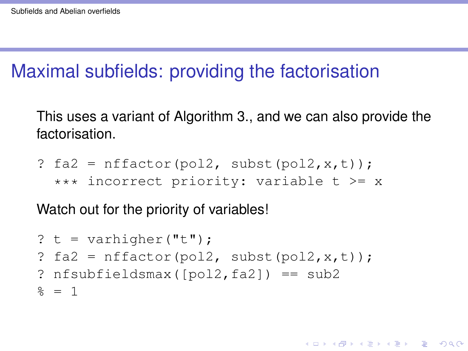### Maximal subfields: providing the factorisation

This uses a variant of Algorithm 3., and we can also provide the factorisation.

? fa2 = nffactor(pol2, subst(pol2,x,t)); \*\*\* incorrect priority: variable t >= x

Watch out for the priority of variables!

```
? t = varhigher("t");
? fa2 = nfactor(pol2, subst(pol2, x, t));
? nfsubfieldsmax([pol2,fa2]) == sub2\frac{6}{5} = 1
```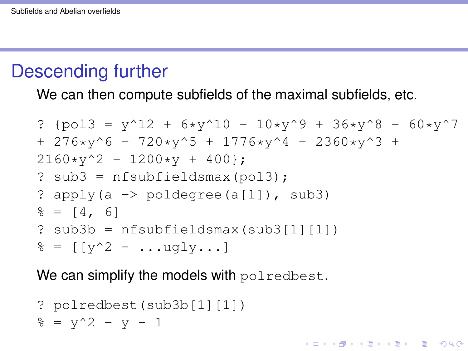### Descending further

We can then compute subfields of the maximal subfields, etc.

? {pol3 = y^12 + 6\*y^10 - 10\*y^9 + 36\*y^8 - 60\*y^7 + 276\*y^6 - 720\*y^5 + 1776\*y^4 - 2360\*y^3 + 2160\*y^2 - 1200\*y + 400}; ? sub3 = nfsubfieldsmax(pol3); ? apply(a -> poldegree(a[1]), sub3) % = [4, 6] ? sub3b = nfsubfieldsmax(sub3[1][1]) % = [[y^2 - ...ugly...]

K ロ ▶ K @ ▶ K 할 ▶ K 할 ▶ 이 할 → 9 Q Q\*

We can simplify the models with polredbest.

? polredbest (sub3b[1][1])  

$$
8 = y^2 - y - 1
$$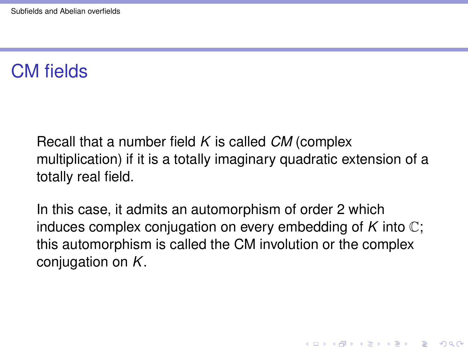#### CM fields

Recall that a number field *K* is called *CM* (complex multiplication) if it is a totally imaginary quadratic extension of a totally real field.

In this case, it admits an automorphism of order 2 which induces complex conjugation on every embedding of *K* into C; this automorphism is called the CM involution or the complex conjugation on *K*.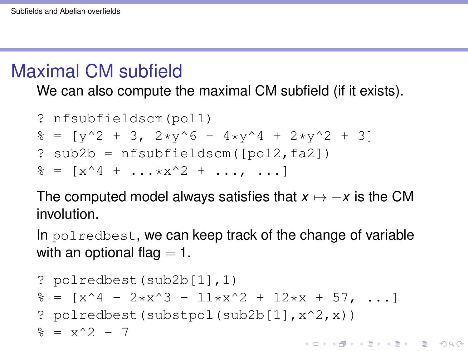### <span id="page-12-0"></span>Maximal CM subfield

We can also compute the maximal CM subfield (if it exists).

? nfsubfieldscm(pol1)  $\frac{1}{6}$  = [y^2 + 3, 2\*y^6 - 4\*y^4 + 2\*y^2 + 3] ? sub2b = nfsubfieldscm([pol2,fa2])  $\frac{1}{6}$  =  $[x^4 + ... x^2 + ... + x^{n}]$ 

The computed model always satisfies that  $x \mapsto -x$  is the CM involution.

In polredbest, we can keep track of the change of variable with an optional flag  $= 1$ .

? polredbest(sub2b[1],1) % = [x^4 - 2\*x^3 - 11\*x^2 + 12\*x + 57, ...] ? polredbest(substpol(sub2b[1],x^2,x)) % = x^2 - 7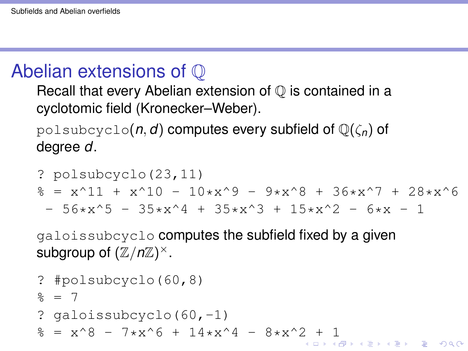## <span id="page-13-0"></span>Abelian extensions of Q

Recall that every Abelian extension of  $\mathbb Q$  is contained in a cyclotomic field (Kronecker–Weber).

polsubcyclo(*n*, *d*) computes every subfield of Q(ζ*n*) of degree *d*.

? polsubcyclo(23,11)  
\n
$$
* = x^11 + x^10 - 10*x^9 - 9*x^8 + 36*x^7 + 28*x^6 - 56*x^5 - 35*x^4 + 35*x^3 + 15*x^2 - 6*x - 1
$$

galoissubcyclo computes the subfield fixed by a given subgroup of  $(\mathbb{Z}/n\mathbb{Z})^{\times}$ .

```
? #polsubcyclo(60,8)
\approx = 7
? galoissubcyclo(60,-1)
2+ 1
```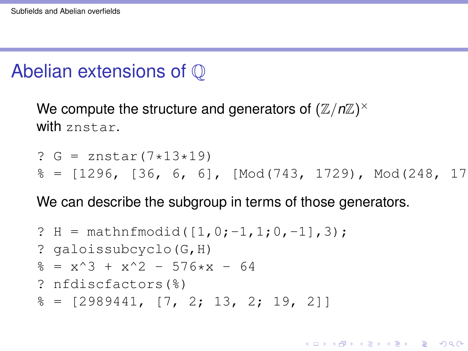### <span id="page-14-0"></span>Abelian extensions of Q

We compute the structure and generators of  $(\mathbb{Z}/n\mathbb{Z})^{\times}$ with znstar.

? G = znstar(7\*13\*19) % = [1296, [36, 6, 6], [Mod(743, 1729), Mod(248, 1729), Mod(407, 1729)]]

**KORKARA KERKER DAGA** 

We can describe the subgroup in terms of those generators.

? H = mathnfmodid([1,0;-1,1;0,-1],3); ? galoissubcyclo(G,H) % = x^3 + x^2 - 576\*x - 64 ? nfdiscfactors(%) % = [2989441, [7, 2; 13, 2; 19, 2]]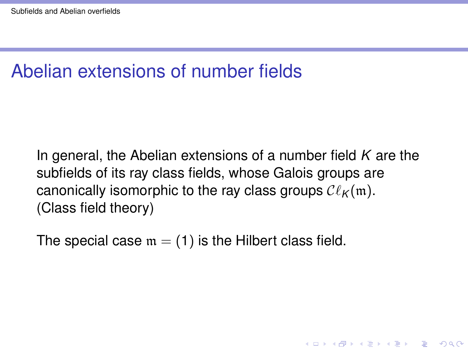### Abelian extensions of number fields

In general, the Abelian extensions of a number field *K* are the subfields of its ray class fields, whose Galois groups are canonically isomorphic to the ray class groups  $\mathcal{C}\ell_{\kappa}(\mathfrak{m})$ . (Class field theory)

**KORK ERKER ADAM ADA** 

The special case  $m = (1)$  is the Hilbert class field.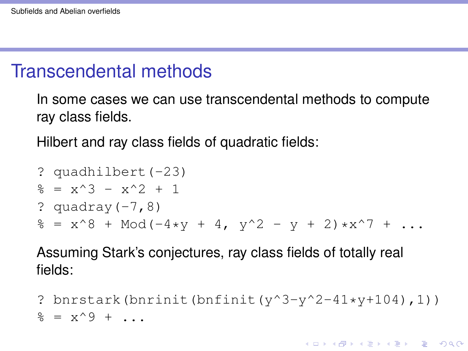#### Transcendental methods

In some cases we can use transcendental methods to compute ray class fields.

Hilbert and ray class fields of quadratic fields:

? quadhilbert(-23) % = x^3 - x^2 + 1 ? quadray(-7,8) % = x^8 + Mod(-4\*y + 4, y^2 - y + 2)\*x^7 + ...

Assuming Stark's conjectures, ray class fields of totally real fields:

? bnrstark(bnrinit(bnfinit(y^3-y^2-41\*y+104),1))  $\frac{1}{2}$  =  $x^0$  + ...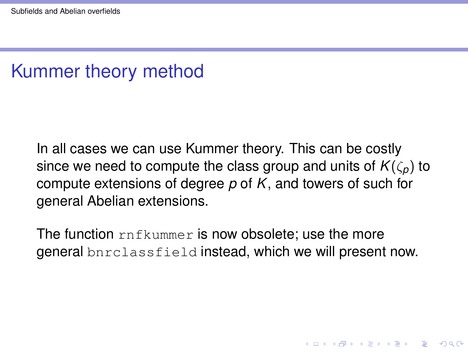### Kummer theory method

In all cases we can use Kummer theory. This can be costly since we need to compute the class group and units of  $K(\zeta_p)$  to compute extensions of degree *p* of *K*, and towers of such for general Abelian extensions.

The function rnfkummer is now obsolete; use the more general bnrclassfield instead, which we will present now.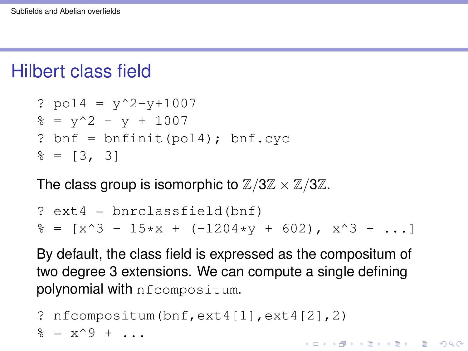### Hilbert class field

```
? pol4 = y^2-y+1007\frac{1}{6} = y<sup>^2</sup> - y + 1007
? bnf = bnfinit(pol4); bnf.cyc\frac{1}{6} = [3, 3]
```
The class group is isomorphic to  $\mathbb{Z}/3\mathbb{Z} \times \mathbb{Z}/3\mathbb{Z}$ .

```
? ext4 = bnrclassfield(bnf)
\frac{1}{6} = [x^3 - 15*x + (-1204*y + 602), x^3 + ...]
```
By default, the class field is expressed as the compositum of two degree 3 extensions. We can compute a single defining polynomial with nfcompositum.

```
? nfcompositum(bnf,ext4[1],ext4[2],2)
\frac{1}{6} = x^0 + ...
                                      KORK ERKER ADAM ADA
```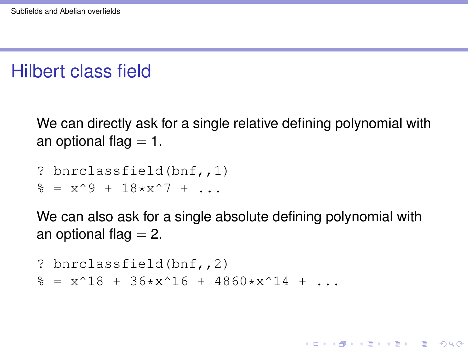### Hilbert class field

We can directly ask for a single relative defining polynomial with an optional flag  $= 1$ .

```
? bnrclassfield(bnf,,1)
\frac{1}{6} = x<sup>^</sup>9 + 18*x<sup>^</sup>7 + ...
```
We can also ask for a single absolute defining polynomial with an optional flag  $= 2$ .

**KOD KARD KED KED BE YOUR** 

```
? bnrclassfield(bnf,,2)
\frac{1}{6} = x<sup>^</sup>18 + 36*x<sup>^</sup>16 + 4860*x<sup>^</sup>14 + ...
```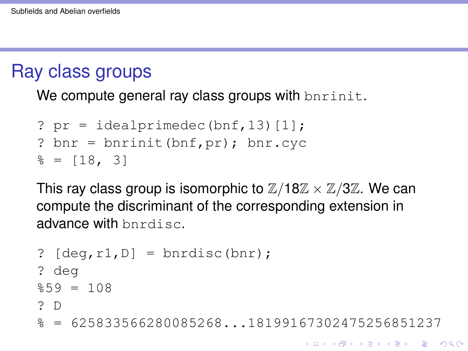#### Ray class groups

We compute general ray class groups with bnrinit.

```
? pr = idealprimedec(bnf, 13) [1];
? bnr = bnrinit(bnf,pr); bnr.cyc
\epsilon = [18, 3]
```
This ray class group is isomorphic to  $\mathbb{Z}/18\mathbb{Z} \times \mathbb{Z}/3\mathbb{Z}$ . We can compute the discriminant of the corresponding extension in advance with bnrdisc.

```
? [deg,r1,D] = 6nrdisc(bnr);
? deg
$59 = 108? D
% = 625833566280085268...18199167302475256851237
```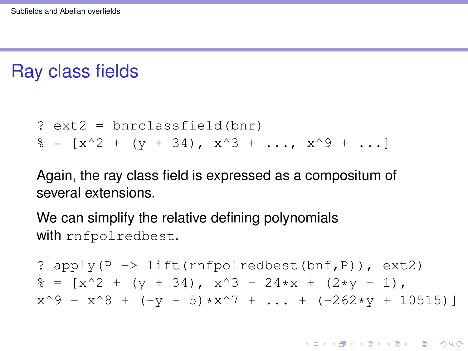#### Ray class fields

? ext2 = bnrclassfield(bnr)  $\frac{1}{6}$  =  $[x^2 + (y + 34), x^3 + ... , x^9 + ...]$ 

Again, the ray class field is expressed as a compositum of several extensions.

We can simplify the relative defining polynomials with rnfpolredbest.

? apply(P -> lift(rnfpolredbest(bnf,P)), ext2)  $\frac{1}{6}$  =  $\left[x^2 + \left(y + 34\right), x^3 - 24*x + \left(2*y - 1\right)\right]$  $x^9 - x^8 + (-y - 5) \cdot x^7 + ... + (-262 \cdot y + 10515)$ 

**KORKARA KERKER DAGA**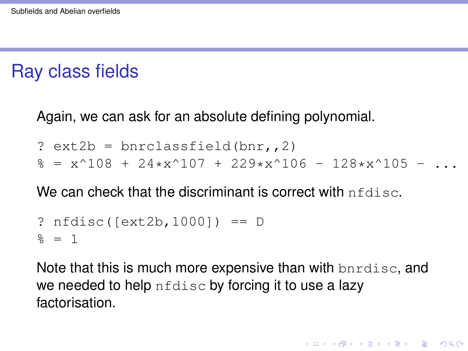### Ray class fields

Again, we can ask for an absolute defining polynomial.

- ?  $ext2b = brrclassfield(bnr, 2)$
- $\frac{1}{6}$  = x^108 + 24\*x^107 + 229\*x^106 128\*x^105 ..

We can check that the discriminant is correct with  $nfdisc$ .

```
? nfdisc([ext2b,1000]) == D
\frac{1}{6} = 1
```
Note that this is much more expensive than with bardisc, and we needed to help  $nfdisc$  by forcing it to use a lazy factorisation.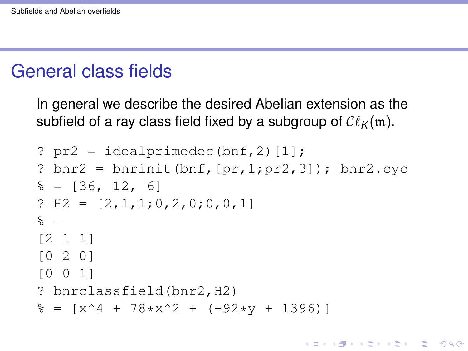#### General class fields

In general we describe the desired Abelian extension as the subfield of a ray class field fixed by a subgroup of  $\mathcal{C}\ell_{\mathcal{K}}(\mathfrak{m})$ .

```
? pr2 = idealprime(bnf, 2)[1];
? bnr2 = bnrinit(bnf, [pr,1;pr2,3]); bnr2.cyc\frac{1}{6} = [36, 12, 6]
? H2 = [2, 1, 1; 0, 2, 0; 0, 0, 1]\frac{6}{6} =
[2 1 1]
[0 2 0]
[0 0 1]
? bnrclassfield(bnr2,H2)
\frac{1}{6} = \left[x^4 + 78 \cdot x^2 + (-92 \cdot y + 1396)\right]
```
**KOD KARD KED KED BE YOUR**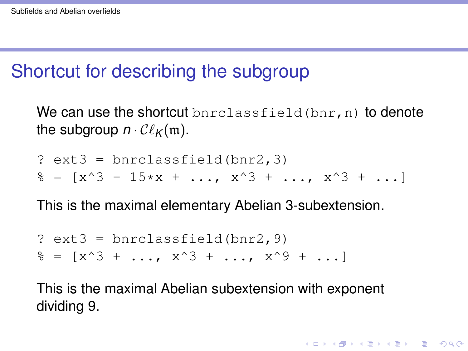#### Shortcut for describing the subgroup

We can use the shortcut bnrclassfield  $(bnr, n)$  to denote the subgroup  $n \cdot \mathcal{C}\ell_{\mathcal{K}}(\mathfrak{m})$ .

? ext3 = bnrclassfield(bnr2,3)  $\hat{\mathcal{S}} = [x^3 - 15*x + \dots, x^3 + \dots, x^3 + \dots]$ 

This is the maximal elementary Abelian 3-subextension.

?  $ext3 = brrclassfield(bnr2, 9)$  $\frac{1}{6}$  =  $[x^3 + \ldots, x^3 + \ldots, x^4 - x^6 + \ldots]$ 

This is the maximal Abelian subextension with exponent dividing 9.

**KORKARA KERKER DAGA**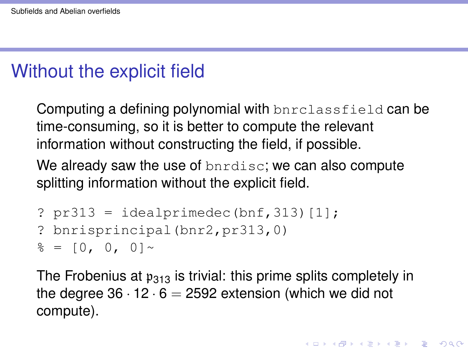## Without the explicit field

Computing a defining polynomial with bnrclassfield can be time-consuming, so it is better to compute the relevant information without constructing the field, if possible.

We already saw the use of bnrdisc; we can also compute splitting information without the explicit field.

```
? pr313 = idealprimedec(bnf, 313)[1];? bnrisprincipal(bnr2, pr313,0)
\frac{1}{6} = [0, 0, 0] ~
```
The Frobenius at  $p_{313}$  is trivial: this prime splits completely in the degree  $36 \cdot 12 \cdot 6 = 2592$  extension (which we did not compute).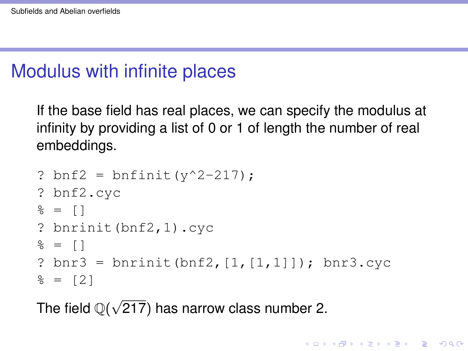## Modulus with infinite places

If the base field has real places, we can specify the modulus at infinity by providing a list of 0 or 1 of length the number of real embeddings.

```
? bnf2 = bnfinit(y^2-217);
? bnf2.cyc
\frac{6}{6} = \frac{1}{2}? bnrinit(bnf2,1).cyc
\frac{6}{6} = \frac{1}{2}? bnr3 = bnrinit(bnf2, [1, [1,1]]); bnr3.cyc\frac{1}{6} = [2]
```
**KORK ERKER ADAM ADA** 

The field  $\mathbb{Q}(\sqrt{2})$ 217) has narrow class number 2.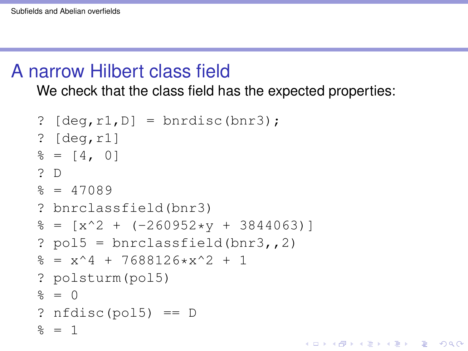#### A narrow Hilbert class field

We check that the class field has the expected properties:

**KORKARA KERKER DAGA** 

```
? [deg,r1,D] = 6nrdisc(bnr3);
? [deg,r1]
\frac{1}{6} = \left[ 4, 0 \right]? D
\approx = 47089
? bnrclassfield(bnr3)
\frac{1}{6} = \left[x^2 + (-260952*y + 3844063)\right]? pol5 = brclassfield(bnr3, 2)\frac{1}{2} = x<sup>^</sup>4 + 7688126*x<sup>^</sup>2 + 1
? polsturm(pol5)
\frac{6}{5} = 0
? nfdisc(pol5) == D\frac{6}{5} = 1
```